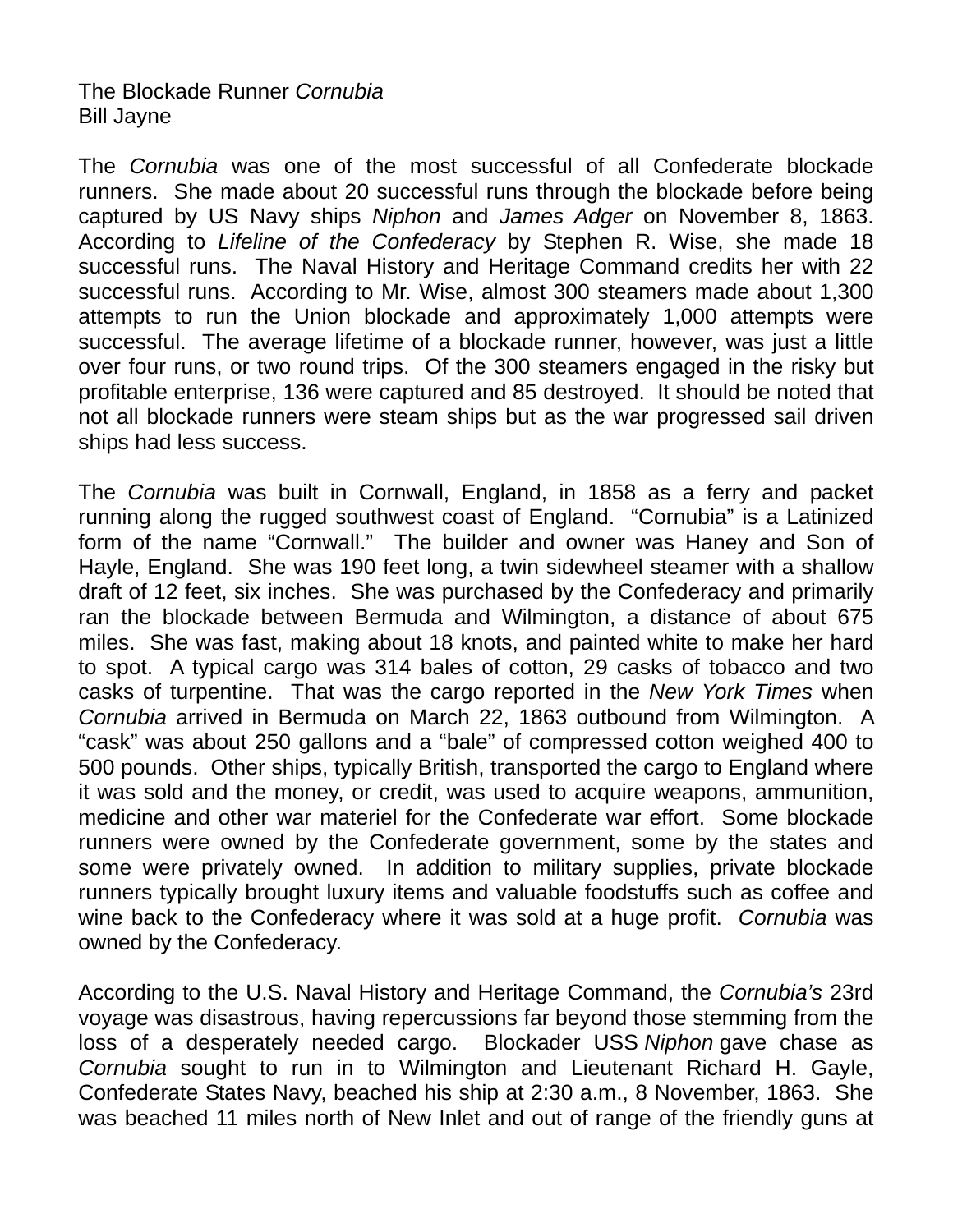## The Blockade Runner *Cornubia* Bill Jayne

The *Cornubia* was one of the most successful of all Confederate blockade runners. She made about 20 successful runs through the blockade before being captured by US Navy ships *Niphon* and *James Adger* on November 8, 1863. According to *Lifeline of the Confederacy* by Stephen R. Wise, she made 18 successful runs. The Naval History and Heritage Command credits her with 22 successful runs. According to Mr. Wise, almost 300 steamers made about 1,300 attempts to run the Union blockade and approximately 1,000 attempts were successful. The average lifetime of a blockade runner, however, was just a little over four runs, or two round trips. Of the 300 steamers engaged in the risky but profitable enterprise, 136 were captured and 85 destroyed. It should be noted that not all blockade runners were steam ships but as the war progressed sail driven ships had less success.

The *Cornubia* was built in Cornwall, England, in 1858 as a ferry and packet running along the rugged southwest coast of England. "Cornubia" is a Latinized form of the name "Cornwall." The builder and owner was Haney and Son of Hayle, England. She was 190 feet long, a twin sidewheel steamer with a shallow draft of 12 feet, six inches. She was purchased by the Confederacy and primarily ran the blockade between Bermuda and Wilmington, a distance of about 675 miles. She was fast, making about 18 knots, and painted white to make her hard to spot. A typical cargo was 314 bales of cotton, 29 casks of tobacco and two casks of turpentine. That was the cargo reported in the *New York Times* when *Cornubia* arrived in Bermuda on March 22, 1863 outbound from Wilmington. A "cask" was about 250 gallons and a "bale" of compressed cotton weighed 400 to 500 pounds. Other ships, typically British, transported the cargo to England where it was sold and the money, or credit, was used to acquire weapons, ammunition, medicine and other war materiel for the Confederate war effort. Some blockade runners were owned by the Confederate government, some by the states and some were privately owned. In addition to military supplies, private blockade runners typically brought luxury items and valuable foodstuffs such as coffee and wine back to the Confederacy where it was sold at a huge profit. *Cornubia* was owned by the Confederacy.

According to the U.S. Naval History and Heritage Command, the *Cornubia's* 23rd voyage was disastrous, having repercussions far beyond those stemming from the loss of a desperately needed cargo. Blockader USS *Niphon* gave chase as *Cornubia* sought to run in to Wilmington and Lieutenant Richard H. Gayle, Confederate States Navy, beached his ship at 2:30 a.m., 8 November, 1863. She was beached 11 miles north of New Inlet and out of range of the friendly guns at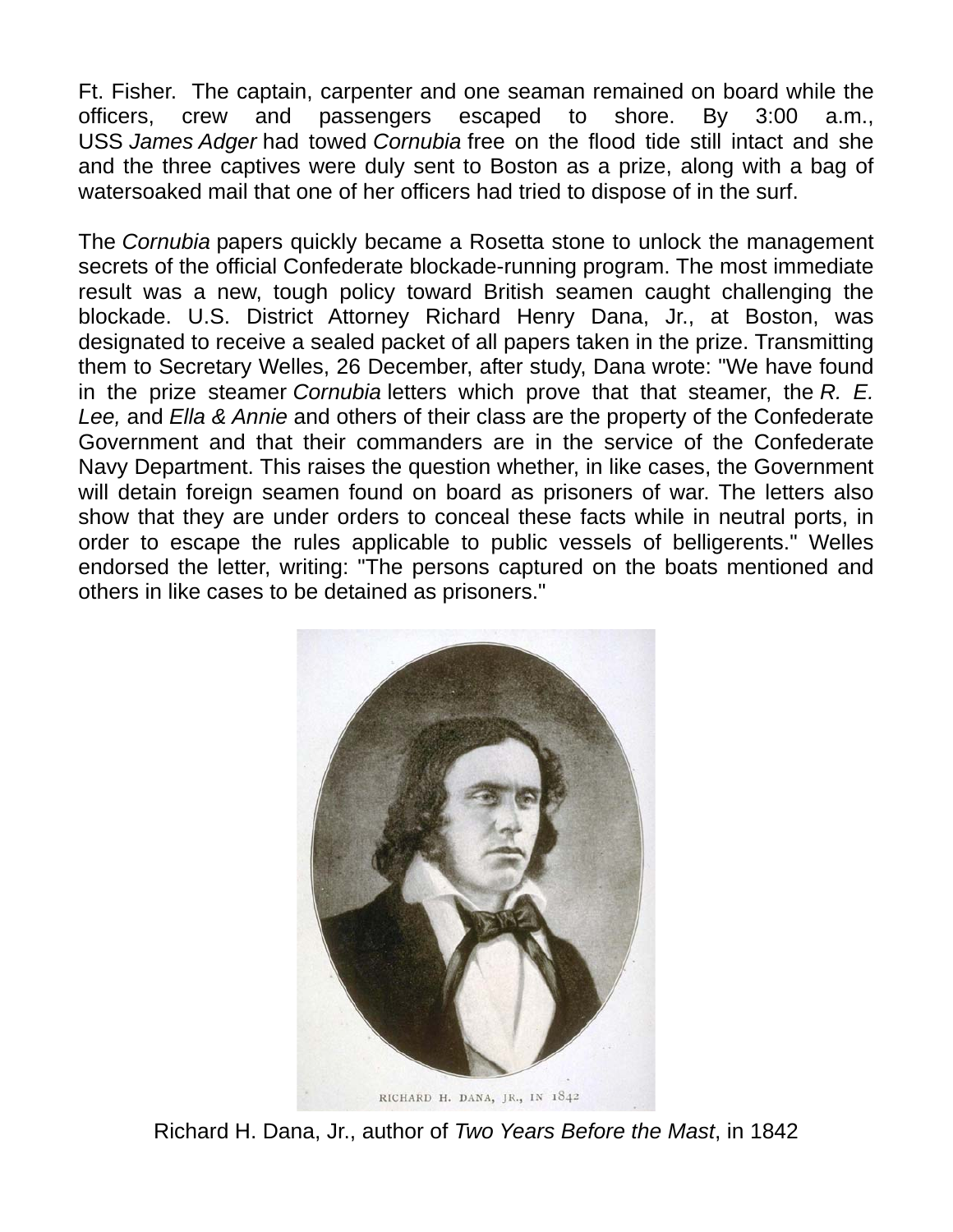Ft. Fisher. The captain, carpenter and one seaman remained on board while the officers, crew and passengers escaped to shore. By 3:00 a.m., USS *James Adger* had towed *Cornubia* free on the flood tide still intact and she and the three captives were duly sent to Boston as a prize, along with a bag of watersoaked mail that one of her officers had tried to dispose of in the surf.

The *Cornubia* papers quickly became a Rosetta stone to unlock the management secrets of the official Confederate blockade-running program. The most immediate result was a new, tough policy toward British seamen caught challenging the blockade. U.S. District Attorney Richard Henry Dana, Jr., at Boston, was designated to receive a sealed packet of all papers taken in the prize. Transmitting them to Secretary Welles, 26 December, after study, Dana wrote: "We have found in the prize steamer *Cornubia* letters which prove that that steamer, the *R. E. Lee,* and *Ella & Annie* and others of their class are the property of the Confederate Government and that their commanders are in the service of the Confederate Navy Department. This raises the question whether, in like cases, the Government will detain foreign seamen found on board as prisoners of war. The letters also show that they are under orders to conceal these facts while in neutral ports, in order to escape the rules applicable to public vessels of belligerents." Welles endorsed the letter, writing: "The persons captured on the boats mentioned and others in like cases to be detained as prisoners."



Richard H. Dana, Jr., author of *Two Years Before the Mast*, in 1842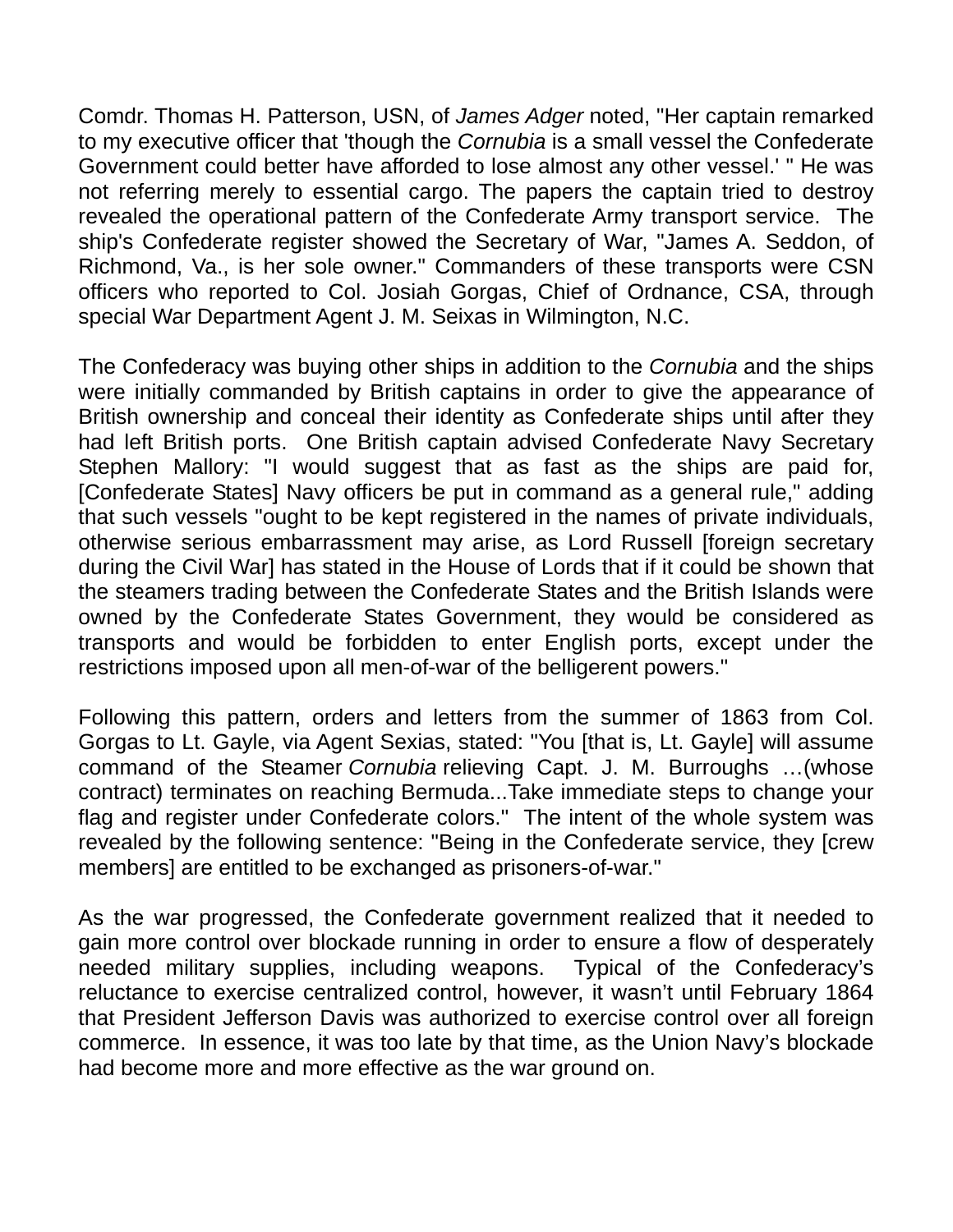Comdr. Thomas H. Patterson, USN, of *James Adger* noted, "Her captain remarked to my executive officer that 'though the *Cornubia* is a small vessel the Confederate Government could better have afforded to lose almost any other vessel.' " He was not referring merely to essential cargo. The papers the captain tried to destroy revealed the operational pattern of the Confederate Army transport service. The ship's Confederate register showed the Secretary of War, "James A. Seddon, of Richmond, Va., is her sole owner." Commanders of these transports were CSN officers who reported to Col. Josiah Gorgas, Chief of Ordnance, CSA, through special War Department Agent J. M. Seixas in Wilmington, N.C.

The Confederacy was buying other ships in addition to the *Cornubia* and the ships were initially commanded by British captains in order to give the appearance of British ownership and conceal their identity as Confederate ships until after they had left British ports. One British captain advised Confederate Navy Secretary Stephen Mallory: "I would suggest that as fast as the ships are paid for, [Confederate States] Navy officers be put in command as a general rule," adding that such vessels "ought to be kept registered in the names of private individuals, otherwise serious embarrassment may arise, as Lord Russell [foreign secretary during the Civil War] has stated in the House of Lords that if it could be shown that the steamers trading between the Confederate States and the British Islands were owned by the Confederate States Government, they would be considered as transports and would be forbidden to enter English ports, except under the restrictions imposed upon all men-of-war of the belligerent powers."

Following this pattern, orders and letters from the summer of 1863 from Col. Gorgas to Lt. Gayle, via Agent Sexias, stated: "You [that is, Lt. Gayle] will assume command of the Steamer *Cornubia* relieving Capt. J. M. Burroughs …(whose contract) terminates on reaching Bermuda...Take immediate steps to change your flag and register under Confederate colors." The intent of the whole system was revealed by the following sentence: "Being in the Confederate service, they [crew members] are entitled to be exchanged as prisoners-of-war."

As the war progressed, the Confederate government realized that it needed to gain more control over blockade running in order to ensure a flow of desperately needed military supplies, including weapons. Typical of the Confederacy's reluctance to exercise centralized control, however, it wasn't until February 1864 that President Jefferson Davis was authorized to exercise control over all foreign commerce. In essence, it was too late by that time, as the Union Navy's blockade had become more and more effective as the war ground on.